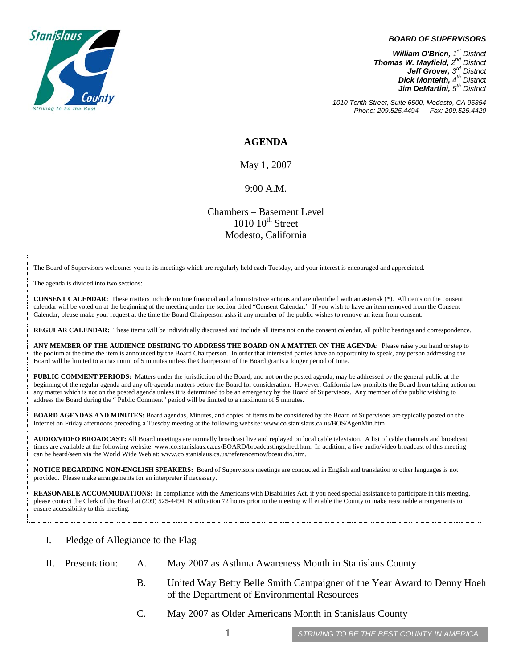

## *BOARD OF SUPERVISORS*

*William O'Brien, 1<sup>st</sup> District Thomas W. Mayfield, 2nd District Jeff Grover, 3rd District Dick Monteith, 4<sup>th</sup> District Jim DeMartini*,  $5<sup>th</sup>$  District

*1010 Tenth Street, Suite 6500, Modesto, CA 95354 Phone: 209.525.4494* 

## **AGENDA**

May 1, 2007

## 9:00 A.M.

Chambers – Basement Level  $1010~10<sup>th</sup>$  Street Modesto, California

The Board of Supervisors welcomes you to its meetings which are regularly held each Tuesday, and your interest is encouraged and appreciated.

The agenda is divided into two sections:

**CONSENT CALENDAR:** These matters include routine financial and administrative actions and are identified with an asterisk (\*). All items on the consent calendar will be voted on at the beginning of the meeting under the section titled "Consent Calendar." If you wish to have an item removed from the Consent Calendar." Calendar, please make your request at the time the Board Chairperson asks if any member of the public wishes to remove an item from consent.

**REGULAR CALENDAR:** These items will be individually discussed and include all items not on the consent calendar, all public hearings and correspondence.

**ANY MEMBER OF THE AUDIENCE DESIRING TO ADDRESS THE BOARD ON A MATTER ON THE AGENDA:** Please raise your hand or step to the podium at the time the item is announced by the Board Chairperson. In order that interested parties have an opportunity to speak, any person addressing the Board will be limited to a maximum of 5 minutes unless the Chairperson of the Board grants a longer period of time.

**PUBLIC COMMENT PERIODS:** Matters under the jurisdiction of the Board, and not on the posted agenda, may be addressed by the general public at the beginning of the regular agenda and any off-agenda matters before the Board for consideration. However, California law prohibits the Board from taking action on any matter which is not on the posted agenda unless it is determined to be an emergency by the Board of Supervisors. Any member of the public wishing to address the Board during the " Public Comment" period will be limited to a maximum of 5 minutes.

**BOARD AGENDAS AND MINUTES:** Board agendas, Minutes, and copies of items to be considered by the Board of Supervisors are typically posted on the Internet on Friday afternoons preceding a Tuesday meeting at the following website: [www.co.stanislaus.ca.us/BOS/AgenMin.htm](http://www.co.stanislaus.ca.us/BOS/AgenMin.htm) 

**AUDIO/VIDEO BROADCAST:** All Board meetings are normally broadcast live and replayed on local cable television. A list of cable channels and broadcast times are available at the following website: [www.co.stanislaus.ca.us/BOARD/broadcastingsched.htm](http://www.co.stanislaus.ca.us/BOARD/broadcastingsched.htm). In addition, a live audio/video broadcast of this meeting can be heard/seen via the World Wide Web at: [www.co.stanislaus.ca.us/referencemov/bosaudio.htm.](http://www.co.stanislaus.ca.us/referencemov/bosaudio.htm)

**NOTICE REGARDING NON-ENGLISH SPEAKERS:** Board of Supervisors meetings are conducted in English and translation to other languages is not provided. Please make arrangements for an interpreter if necessary.

**REASONABLE ACCOMMODATIONS:** In compliance with the Americans with Disabilities Act, if you need special assistance to participate in this meeting, please contact the Clerk of the Board at (209) 525-4494. Notification 72 hours prior to the meeting will enable the County to make reasonable arrangements to ensure accessibility to this meeting.

- I. Pledge of Allegiance to the Flag
- II. Presentation: A. May 2007 as Asthma Awareness Month in Stanislaus County
	- B. United Way Betty Belle Smith Campaigner of the Year Award to Denny Hoeh of the Department of Environmental Resources
	- C. May 2007 as Older Americans Month in Stanislaus County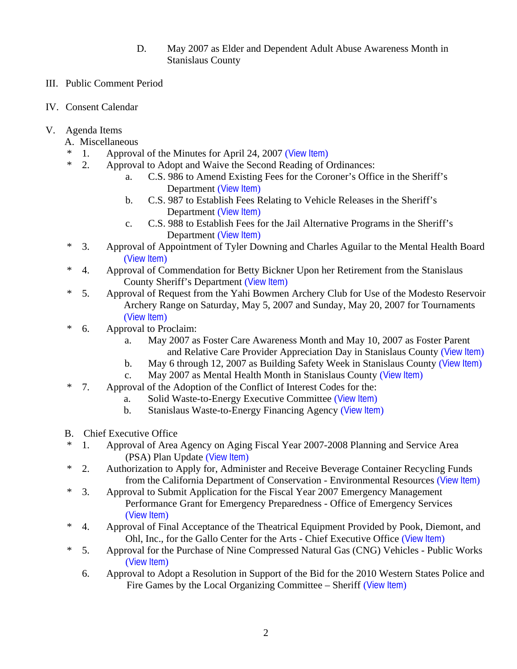- D. May 2007 as Elder and Dependent Adult Abuse Awareness Month in Stanislaus County
- III. Public Comment Period
- IV. Consent Calendar
- V. Agenda Items
	- A. Miscellaneous
	- 1. Approval of the Minutes for April 24, 2007 ([View Item](http://www.co.stanislaus.ca.us/BOS/MINUTES/2007/min04-24-07.pdf))
	- \* 2. Approval to Adopt and Waive the Second Reading of Ordinances:
		- a. C.S. 986 to Amend Existing Fees for the Coroner's Office in the Sheriff's Department ([View Item](http://www.co.stanislaus.ca.us/BOS/Agenda/2007/20070501/A02a.pdf))
		- b. C.S. 987 to Establish Fees Relating to Vehicle Releases in the Sheriff's Department ([View Item](http://www.co.stanislaus.ca.us/BOS/Agenda/2007/20070501/A02b.pdf))
		- c. C.S. 988 to Establish Fees for the Jail Alternative Programs in the Sheriff's Department ([View Item](http://www.co.stanislaus.ca.us/BOS/Agenda/2007/20070501/A02c.pdf))
	- \* 3. Approval of Appointment of Tyler Downing and Charles Aguilar to the Mental Health Board ([View Item](http://www.co.stanislaus.ca.us/BOS/Agenda/2007/20070501/A03.pdf))
	- \* 4. Approval of Commendation for Betty Bickner Upon her Retirement from the Stanislaus County Sheriff's Department ([View Item](http://www.co.stanislaus.ca.us/BOS/Agenda/2007/20070501/A04.pdf))
	- \* 5. Approval of Request from the Yahi Bowmen Archery Club for Use of the Modesto Reservoir Archery Range on Saturday, May 5, 2007 and Sunday, May 20, 2007 for Tournaments ([View Item](http://www.co.stanislaus.ca.us/BOS/Agenda/2007/20070501/A05.pdf))
	- \* 6. Approval to Proclaim:
		- a. May 2007 as Foster Care Awareness Month and May 10, 2007 as Foster Parent and Relative Care Provider Appreciation Day in Stanislaus County ([View Item](http://www.co.stanislaus.ca.us/BOS/Agenda/2007/20070501/A06a.pdf))
		- b. May 6 through 12, 2007 as Building Safety Week in Stanislaus County ([View Item](http://www.co.stanislaus.ca.us/BOS/Agenda/2007/20070501/A06b.pdf))
		- c. May 2007 as Mental Health Month in Stanislaus County ([View Item](http://www.co.stanislaus.ca.us/BOS/Agenda/2007/20070501/A06c.pdf))
	- \* 7. Approval of the Adoption of the Conflict of Interest Codes for the:
		- a. Solid Waste-to-Energy Executive Committee ([View Item](http://www.co.stanislaus.ca.us/BOS/Agenda/2007/20070501/A07a.pdf))
			- b. Stanislaus Waste-to-Energy Financing Agency ([View Item](http://www.co.stanislaus.ca.us/BOS/Agenda/2007/20070501/A07b.pdf))
	- B. Chief Executive Office
	- 1. Approval of Area Agency on Aging Fiscal Year 2007-2008 Planning and Service Area (PSA) Plan Update ([View Item](http://www.co.stanislaus.ca.us/BOS/Agenda/2007/20070501/B01.pdf))
	- \* 2. Authorization to Apply for, Administer and Receive Beverage Container Recycling Funds from the California Department of Conservation - Environmental Resources ([View Item](http://www.co.stanislaus.ca.us/BOS/Agenda/2007/20070501/B02.pdf))
	- \* 3. Approval to Submit Application for the Fiscal Year 2007 Emergency Management Performance Grant for Emergency Preparedness - Office of Emergency Services ([View Item](http://www.co.stanislaus.ca.us/BOS/Agenda/2007/20070501/B03.pdf))
	- \* 4. Approval of Final Acceptance of the Theatrical Equipment Provided by Pook, Diemont, and Ohl, Inc., for the Gallo Center for the Arts - Chief Executive Office ([View Item](http://www.co.stanislaus.ca.us/BOS/Agenda/2007/20070501/B04.pdf))
	- \* 5. Approval for the Purchase of Nine Compressed Natural Gas (CNG) Vehicles Public Works ([View Item](http://www.co.stanislaus.ca.us/BOS/Agenda/2007/20070501/B05.pdf))
		- 6. Approval to Adopt a Resolution in Support of the Bid for the 2010 Western States Police and Fire Games by the Local Organizing Committee – Sheriff ([View Item](http://www.co.stanislaus.ca.us/BOS/Agenda/2007/20070501/B06.pdf))